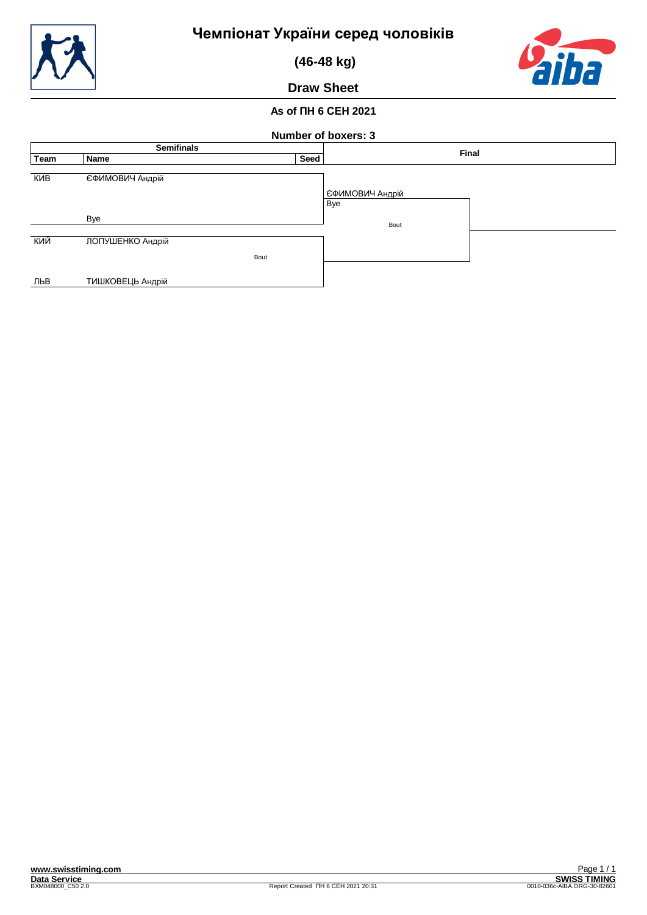

 **(46-48 kg)**



**Draw Sheet**

## **As of ПН 6 СЕН 2021**

| Number of boxers: 3 |                  |      |                        |  |  |
|---------------------|------------------|------|------------------------|--|--|
| <b>Semifinals</b>   |                  |      | Final                  |  |  |
| Team                | Name             | Seed |                        |  |  |
| КИВ                 | ЄФИМОВИЧ Андрій  |      | ЕФИМОВИЧ Андрій<br>Bye |  |  |
|                     | Bye              |      | Bout                   |  |  |
| кий                 | ЛОПУШЕНКО Андрій |      |                        |  |  |
|                     |                  | Bout |                        |  |  |
| ЛЬВ                 | ТИШКОВЕЦЬ Андрій |      |                        |  |  |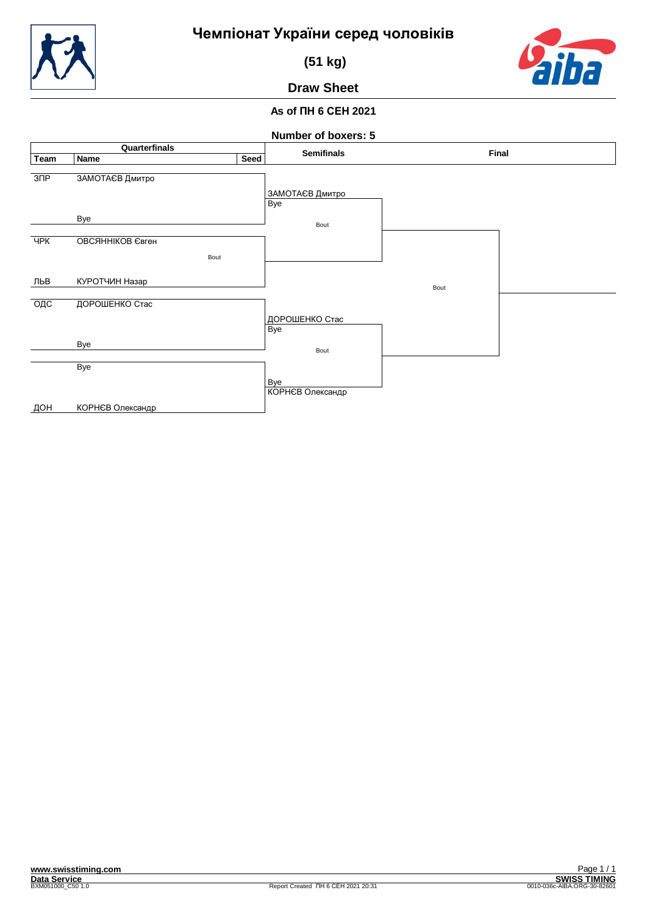



 **(51 kg)**

# **Draw Sheet**

## **As of ПН 6 СЕН 2021**

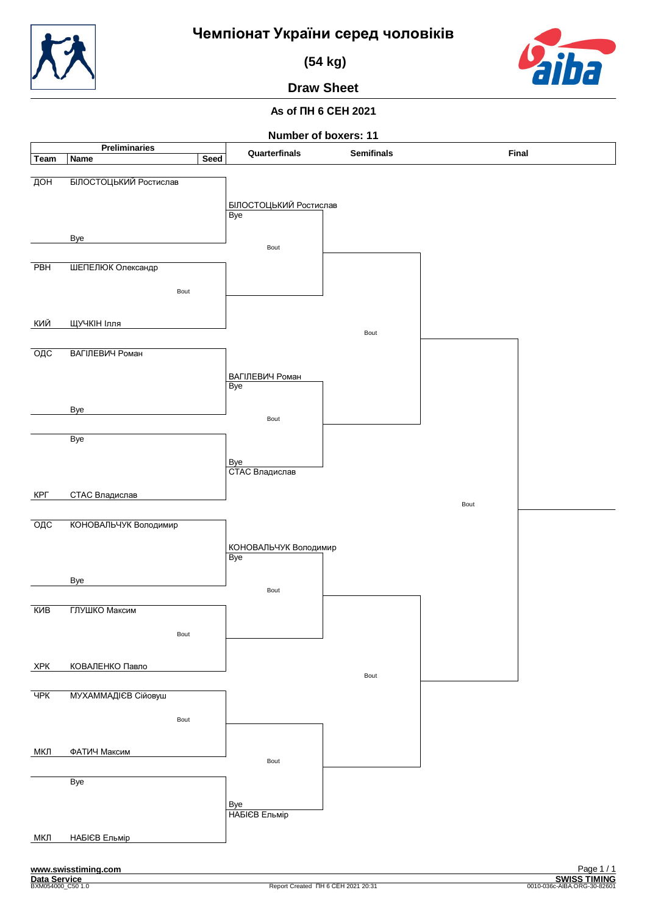

 **(54 kg)**



**Draw Sheet**

## **As of ПН 6 СЕН 2021**

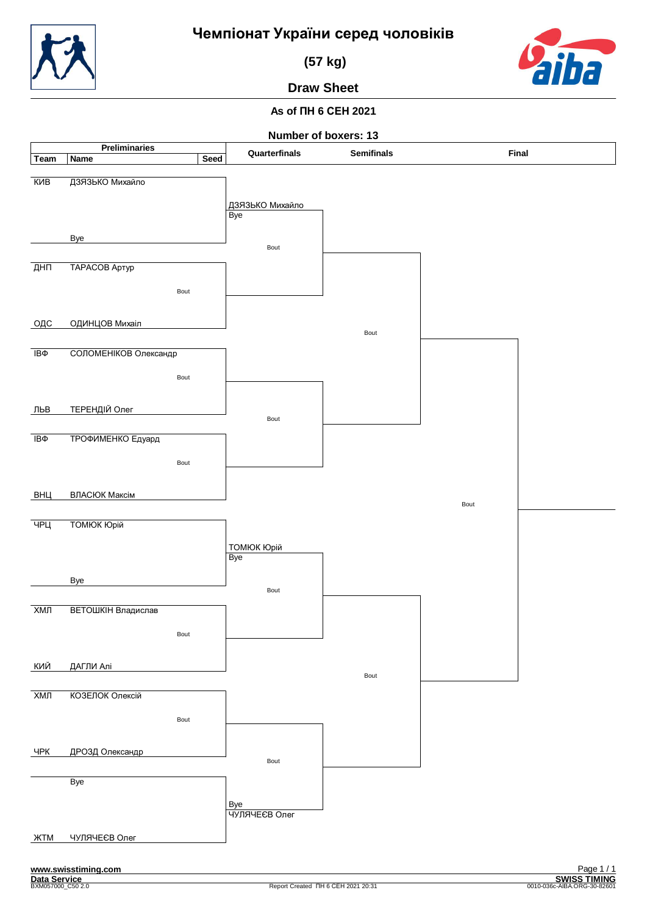



 **(57 kg)**

# **Draw Sheet**

## **As of ПН 6 СЕН 2021**

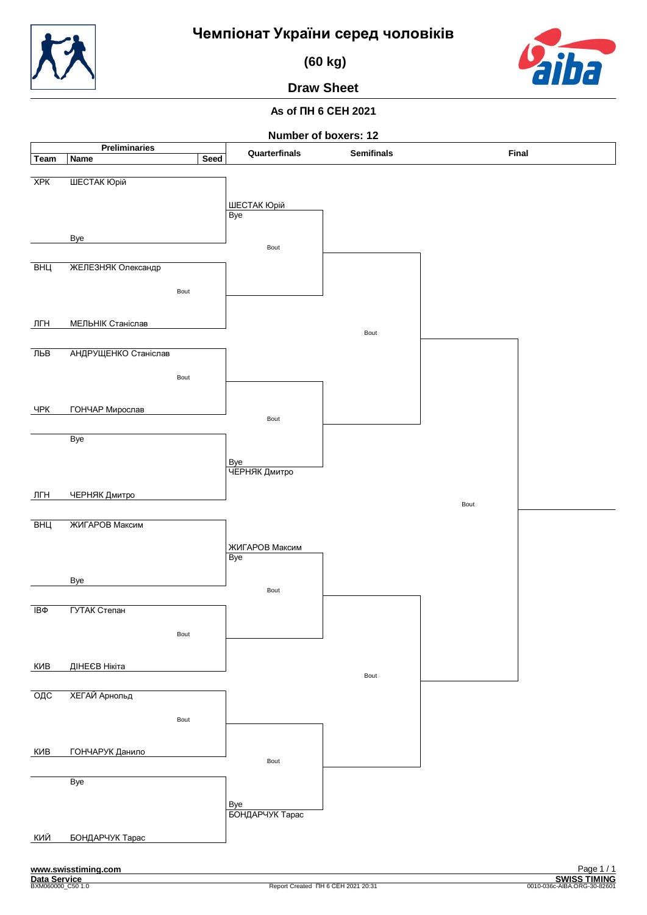**(60 kg)**



**Draw Sheet**

## **As of ПН 6 СЕН 2021**

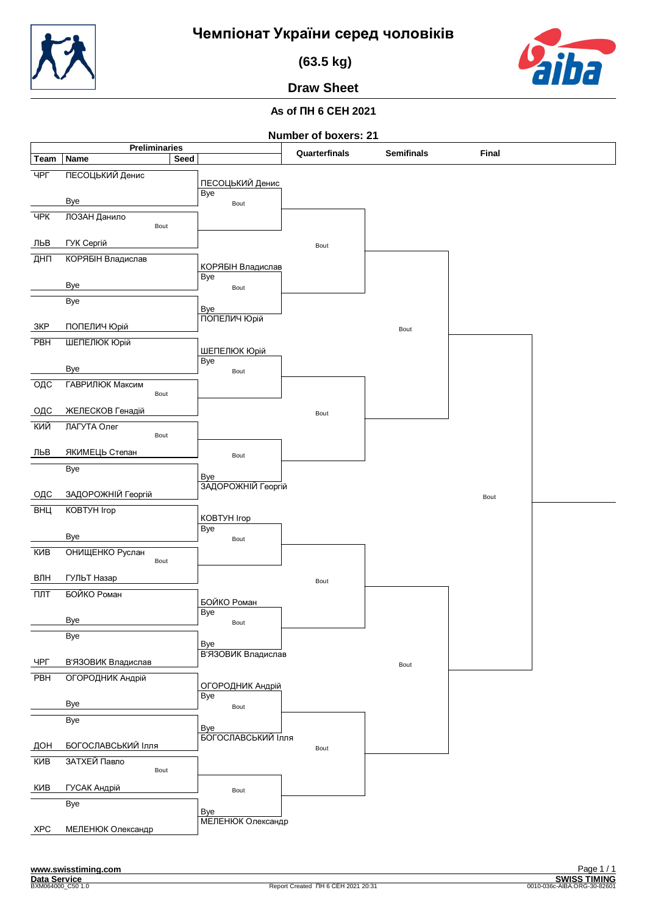

 **(63.5 kg)**



**Draw Sheet**

## **As of ПН 6 СЕН 2021**

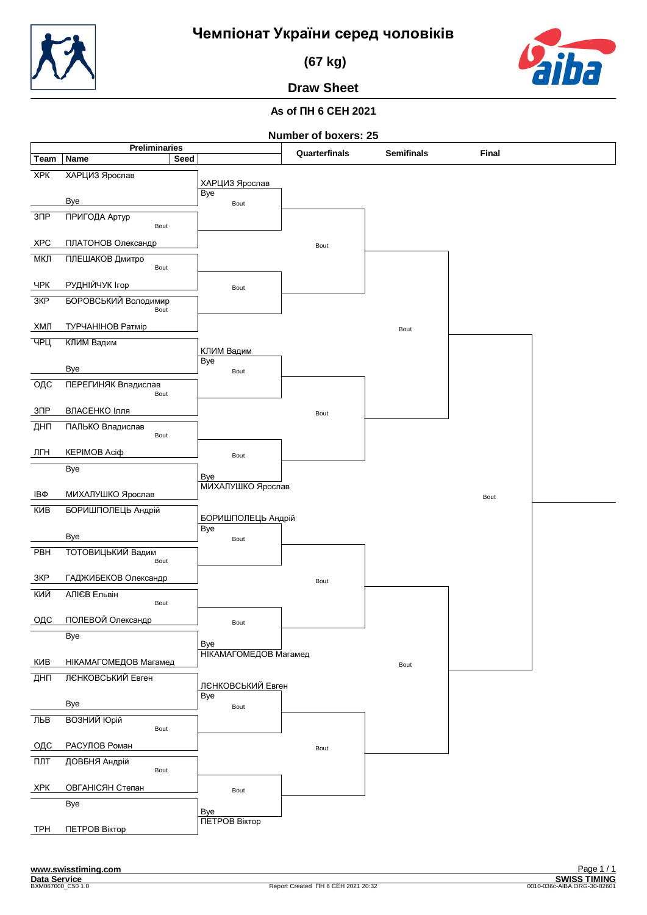![](_page_6_Picture_0.jpeg)

 **(67 kg)**

![](_page_6_Picture_3.jpeg)

**Draw Sheet**

## **As of ПН 6 СЕН 2021**

![](_page_6_Figure_7.jpeg)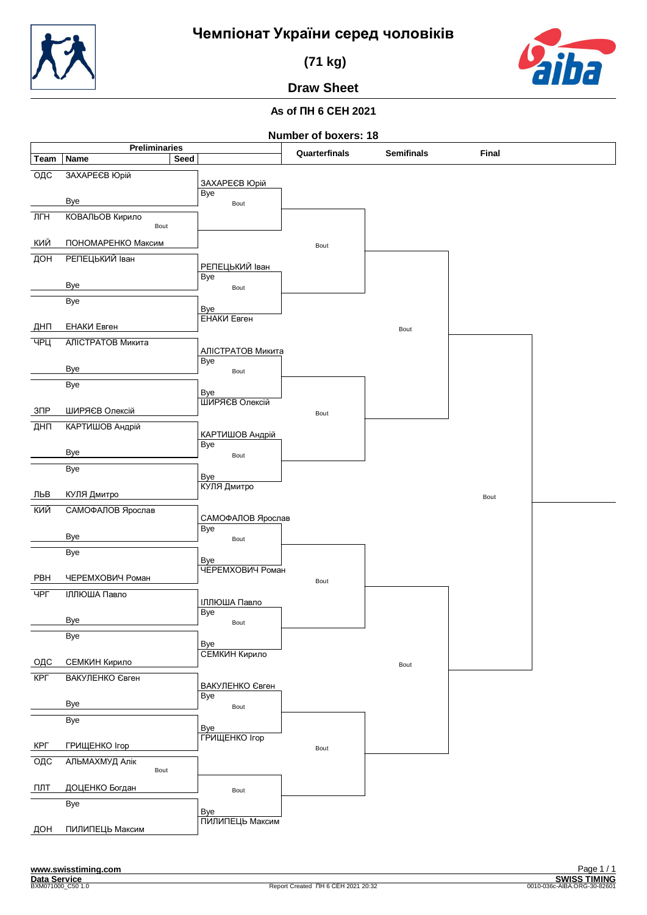![](_page_7_Picture_0.jpeg)

 **(71 kg)**

![](_page_7_Picture_3.jpeg)

**Draw Sheet**

## **As of ПН 6 СЕН 2021**

![](_page_7_Figure_7.jpeg)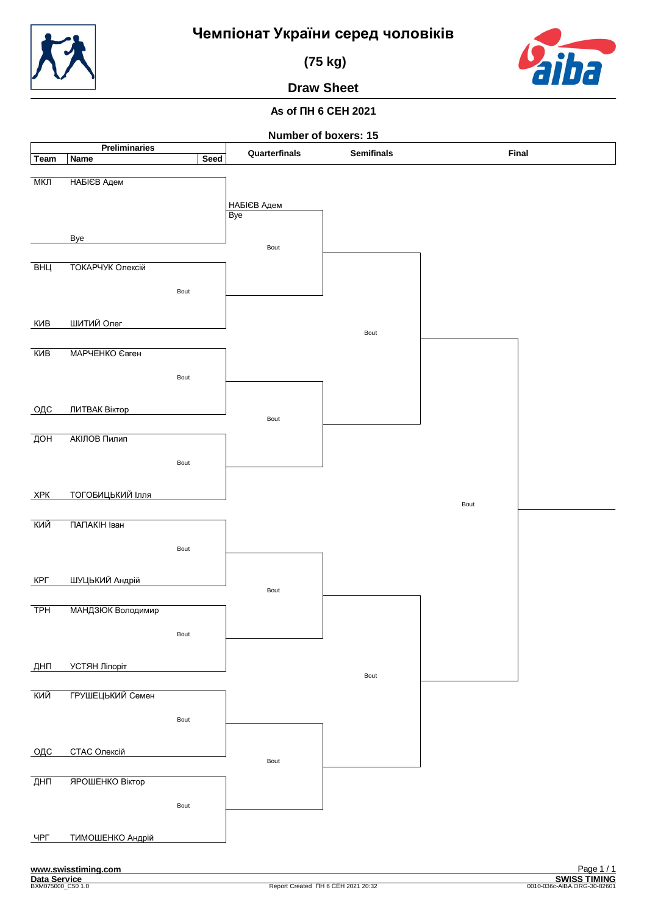![](_page_8_Picture_0.jpeg)

 **(75 kg)**

![](_page_8_Picture_3.jpeg)

**Draw Sheet**

## **As of ПН 6 СЕН 2021**

![](_page_8_Figure_7.jpeg)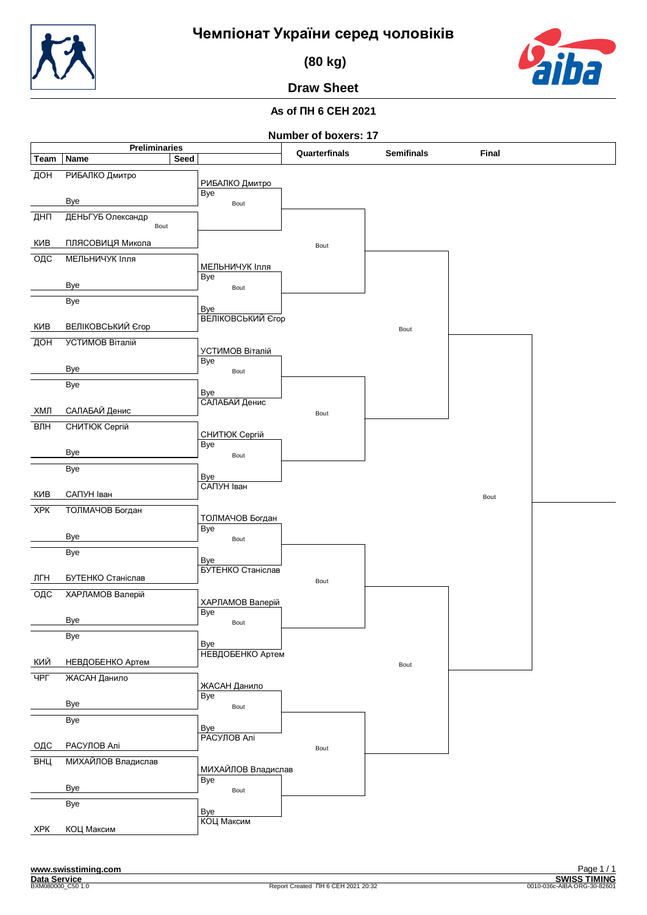![](_page_9_Picture_0.jpeg)

 **(80 kg)**

![](_page_9_Picture_3.jpeg)

## **As of ПН 6 СЕН 2021 Draw Sheet**

![](_page_9_Figure_7.jpeg)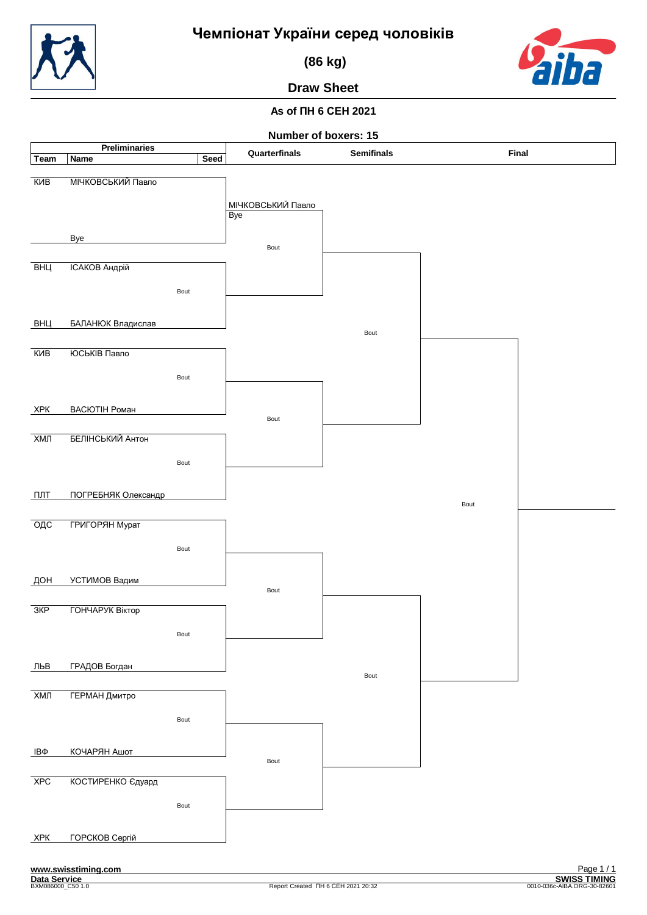![](_page_10_Picture_0.jpeg)

 **(86 kg)**

![](_page_10_Picture_3.jpeg)

**Draw Sheet**

## **As of ПН 6 СЕН 2021**

![](_page_10_Figure_7.jpeg)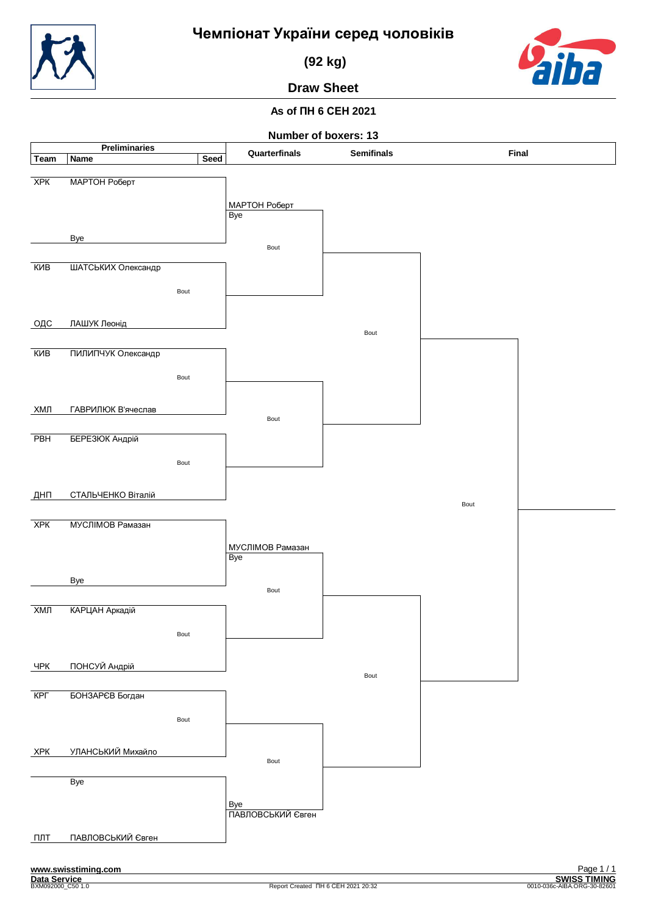**(92 kg)**

![](_page_11_Picture_3.jpeg)

**Draw Sheet**

## **As of ПН 6 СЕН 2021**

![](_page_11_Figure_7.jpeg)